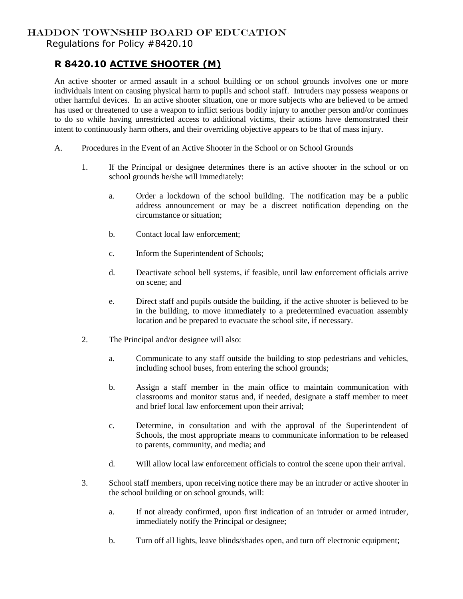## HADDON TOWNSHIP BOARD OF EDUCATION

Regulations for Policy #8420.10

## **R 8420.10 ACTIVE SHOOTER (M)**

An active shooter or armed assault in a school building or on school grounds involves one or more individuals intent on causing physical harm to pupils and school staff. Intruders may possess weapons or other harmful devices. In an active shooter situation, one or more subjects who are believed to be armed has used or threatened to use a weapon to inflict serious bodily injury to another person and/or continues to do so while having unrestricted access to additional victims, their actions have demonstrated their intent to continuously harm others, and their overriding objective appears to be that of mass injury.

- A. Procedures in the Event of an Active Shooter in the School or on School Grounds
	- 1. If the Principal or designee determines there is an active shooter in the school or on school grounds he/she will immediately:
		- a. Order a lockdown of the school building. The notification may be a public address announcement or may be a discreet notification depending on the circumstance or situation;
		- b. Contact local law enforcement;
		- c. Inform the Superintendent of Schools;
		- d. Deactivate school bell systems, if feasible, until law enforcement officials arrive on scene; and
		- e. Direct staff and pupils outside the building, if the active shooter is believed to be in the building, to move immediately to a predetermined evacuation assembly location and be prepared to evacuate the school site, if necessary.
	- 2. The Principal and/or designee will also:
		- a. Communicate to any staff outside the building to stop pedestrians and vehicles, including school buses, from entering the school grounds;
		- b. Assign a staff member in the main office to maintain communication with classrooms and monitor status and, if needed, designate a staff member to meet and brief local law enforcement upon their arrival;
		- c. Determine, in consultation and with the approval of the Superintendent of Schools, the most appropriate means to communicate information to be released to parents, community, and media; and
		- d. Will allow local law enforcement officials to control the scene upon their arrival.
	- 3. School staff members, upon receiving notice there may be an intruder or active shooter in the school building or on school grounds, will:
		- a. If not already confirmed, upon first indication of an intruder or armed intruder, immediately notify the Principal or designee;
		- b. Turn off all lights, leave blinds/shades open, and turn off electronic equipment;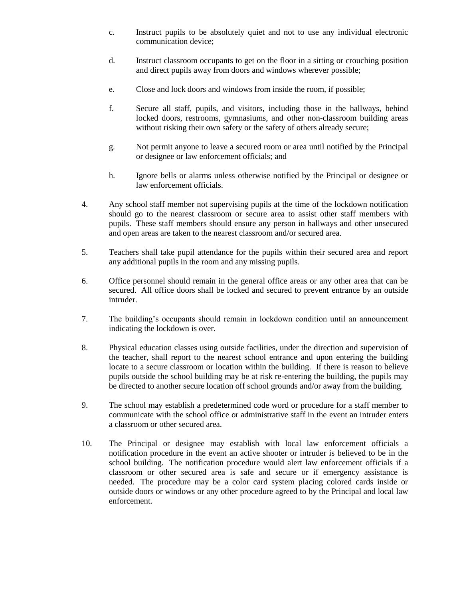- c. Instruct pupils to be absolutely quiet and not to use any individual electronic communication device;
- d. Instruct classroom occupants to get on the floor in a sitting or crouching position and direct pupils away from doors and windows wherever possible;
- e. Close and lock doors and windows from inside the room, if possible;
- f. Secure all staff, pupils, and visitors, including those in the hallways, behind locked doors, restrooms, gymnasiums, and other non-classroom building areas without risking their own safety or the safety of others already secure;
- g. Not permit anyone to leave a secured room or area until notified by the Principal or designee or law enforcement officials; and
- h. Ignore bells or alarms unless otherwise notified by the Principal or designee or law enforcement officials.
- 4. Any school staff member not supervising pupils at the time of the lockdown notification should go to the nearest classroom or secure area to assist other staff members with pupils. These staff members should ensure any person in hallways and other unsecured and open areas are taken to the nearest classroom and/or secured area.
- 5. Teachers shall take pupil attendance for the pupils within their secured area and report any additional pupils in the room and any missing pupils.
- 6. Office personnel should remain in the general office areas or any other area that can be secured. All office doors shall be locked and secured to prevent entrance by an outside intruder.
- 7. The building's occupants should remain in lockdown condition until an announcement indicating the lockdown is over.
- 8. Physical education classes using outside facilities, under the direction and supervision of the teacher, shall report to the nearest school entrance and upon entering the building locate to a secure classroom or location within the building. If there is reason to believe pupils outside the school building may be at risk re-entering the building, the pupils may be directed to another secure location off school grounds and/or away from the building.
- 9. The school may establish a predetermined code word or procedure for a staff member to communicate with the school office or administrative staff in the event an intruder enters a classroom or other secured area.
- 10. The Principal or designee may establish with local law enforcement officials a notification procedure in the event an active shooter or intruder is believed to be in the school building. The notification procedure would alert law enforcement officials if a classroom or other secured area is safe and secure or if emergency assistance is needed. The procedure may be a color card system placing colored cards inside or outside doors or windows or any other procedure agreed to by the Principal and local law enforcement.